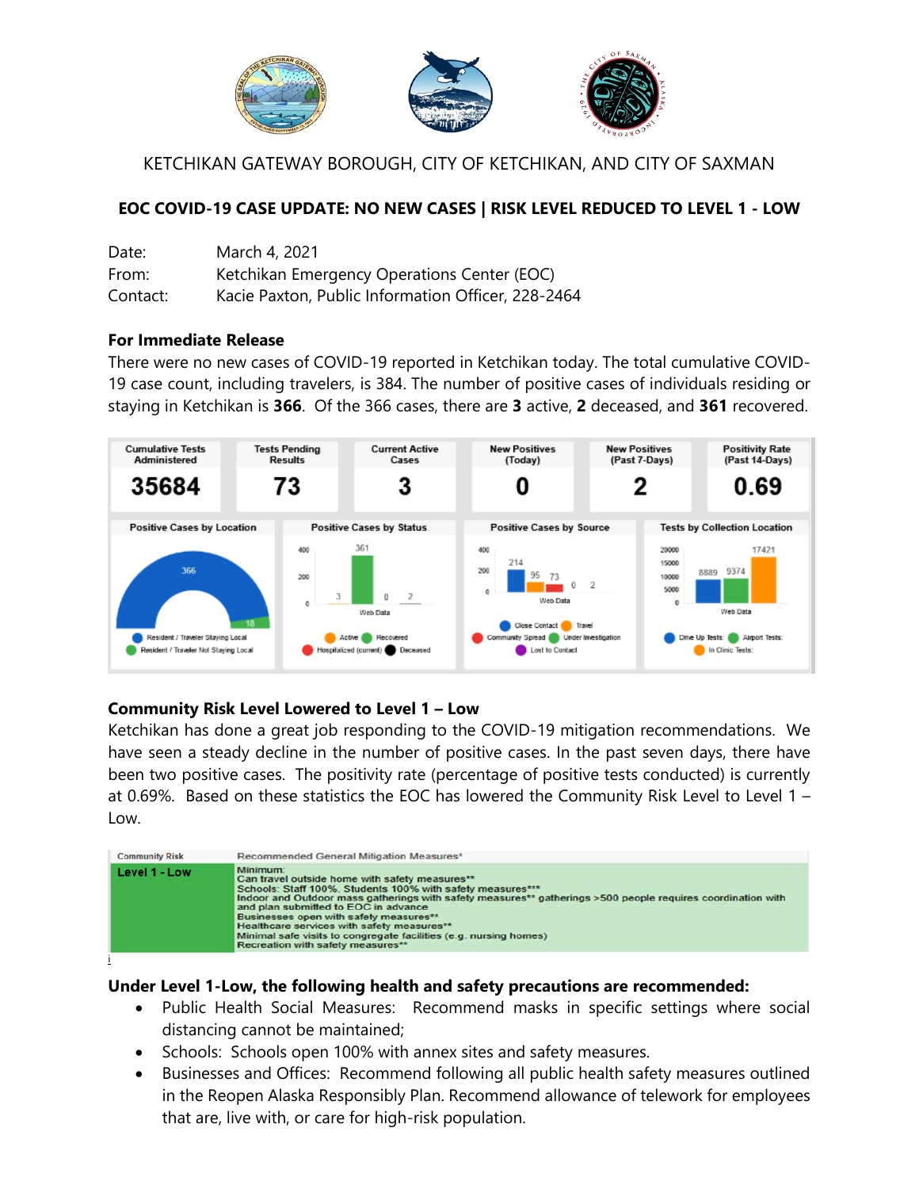

KETCHIKAN GATEWAY BOROUGH, CITY OF KETCHIKAN, AND CITY OF SAXMAN

## **EOC COVID-19 CASE UPDATE: NO NEW CASES | RISK LEVEL REDUCED TO LEVEL 1 - LOW**

| Date:    | March 4, 2021                                      |
|----------|----------------------------------------------------|
| From:    | Ketchikan Emergency Operations Center (EOC)        |
| Contact: | Kacie Paxton, Public Information Officer, 228-2464 |

#### **For Immediate Release**

There were no new cases of COVID-19 reported in Ketchikan today. The total cumulative COVID-19 case count, including travelers, is 384. The number of positive cases of individuals residing or staying in Ketchikan is **366**. Of the 366 cases, there are **3** active, **2** deceased, and **361** recovered.



### **Community Risk Level Lowered to Level 1 – Low**

Ketchikan has done a great job responding to the COVID-19 mitigation recommendations. We have seen a steady decline in the number of positive cases. In the past seven days, there have been two positive cases. The positivity rate (percentage of positive tests conducted) is currently at 0.69%. Based on these statistics the EOC has lowered the Community Risk Level to Level 1 – Low.



### **Under Level 1-Low, the following health and safety precautions are recommended:**

- Public Health Social Measures: Recommend masks in specific settings where social distancing cannot be maintained;
- Schools: Schools open 100% with annex sites and safety measures.
- Businesses and Offices: Recommend following all public health safety measures outlined in the Reopen Alaska Responsibly Plan. Recommend allowance of telework for employees that are, live with, or care for high-risk population.